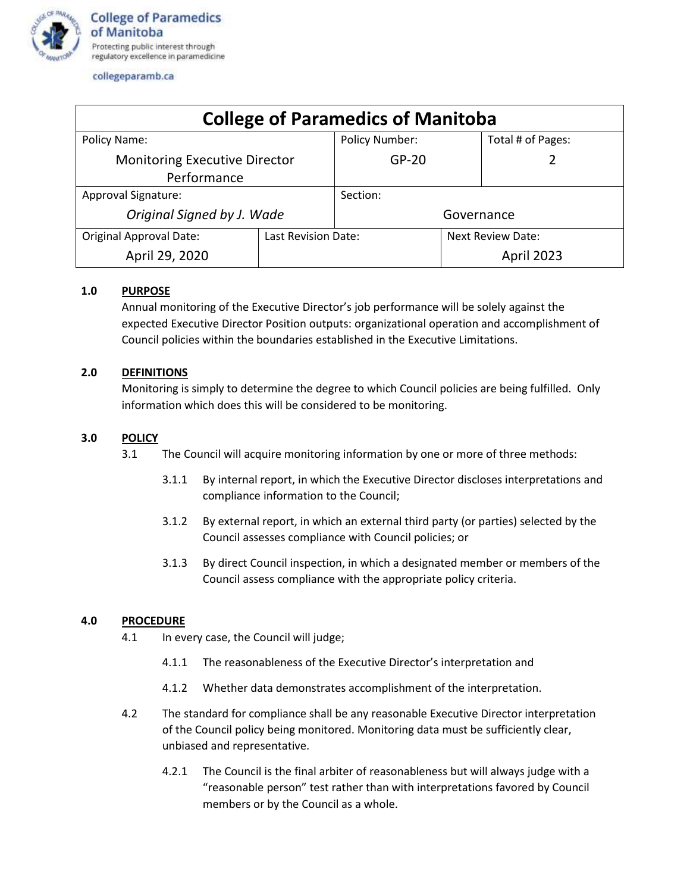

collegeparamb.ca

| <b>College of Paramedics of Manitoba</b> |                     |                       |  |                          |  |
|------------------------------------------|---------------------|-----------------------|--|--------------------------|--|
| Policy Name:                             |                     | <b>Policy Number:</b> |  | Total # of Pages:        |  |
| <b>Monitoring Executive Director</b>     |                     | $GP-20$               |  |                          |  |
| Performance                              |                     |                       |  |                          |  |
| Approval Signature:                      |                     | Section:              |  |                          |  |
| Original Signed by J. Wade               |                     | Governance            |  |                          |  |
| <b>Original Approval Date:</b>           | Last Revision Date: |                       |  | <b>Next Review Date:</b> |  |
| April 29, 2020                           |                     |                       |  | April 2023               |  |

# **1.0 PURPOSE**

Annual monitoring of the Executive Director's job performance will be solely against the expected Executive Director Position outputs: organizational operation and accomplishment of Council policies within the boundaries established in the Executive Limitations.

## **2.0 DEFINITIONS**

Monitoring is simply to determine the degree to which Council policies are being fulfilled. Only information which does this will be considered to be monitoring.

## **3.0 POLICY**

- 3.1 The Council will acquire monitoring information by one or more of three methods:
	- 3.1.1 By internal report, in which the Executive Director discloses interpretations and compliance information to the Council;
	- 3.1.2 By external report, in which an external third party (or parties) selected by the Council assesses compliance with Council policies; or
	- 3.1.3 By direct Council inspection, in which a designated member or members of the Council assess compliance with the appropriate policy criteria.

### **4.0 PROCEDURE**

- 4.1 In every case, the Council will judge;
	- 4.1.1 The reasonableness of the Executive Director's interpretation and
	- 4.1.2 Whether data demonstrates accomplishment of the interpretation.
- 4.2 The standard for compliance shall be any reasonable Executive Director interpretation of the Council policy being monitored. Monitoring data must be sufficiently clear, unbiased and representative.
	- 4.2.1 The Council is the final arbiter of reasonableness but will always judge with a "reasonable person" test rather than with interpretations favored by Council members or by the Council as a whole.